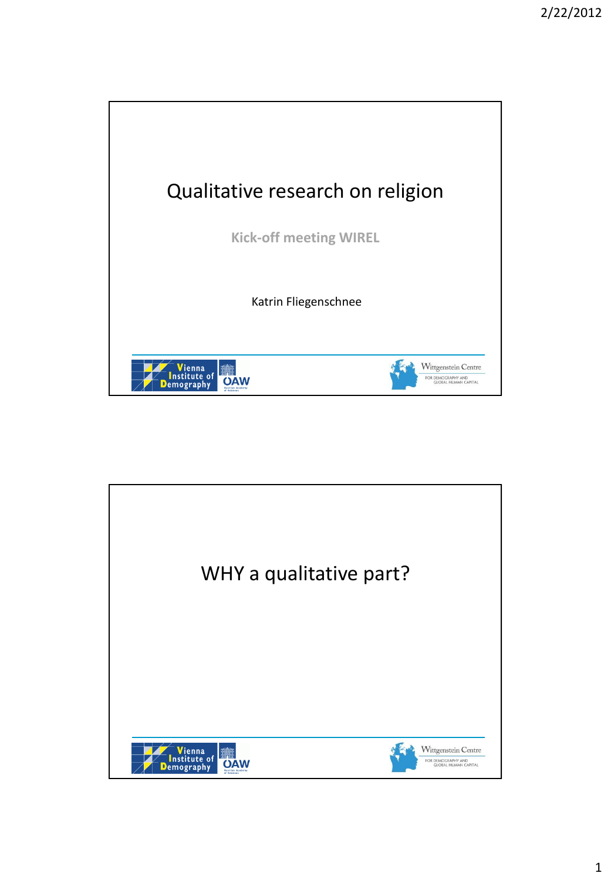

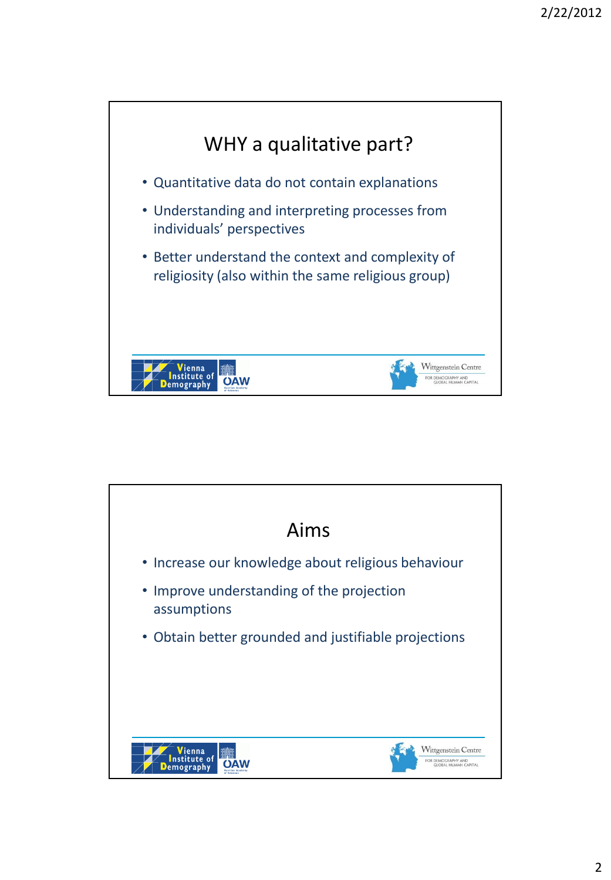

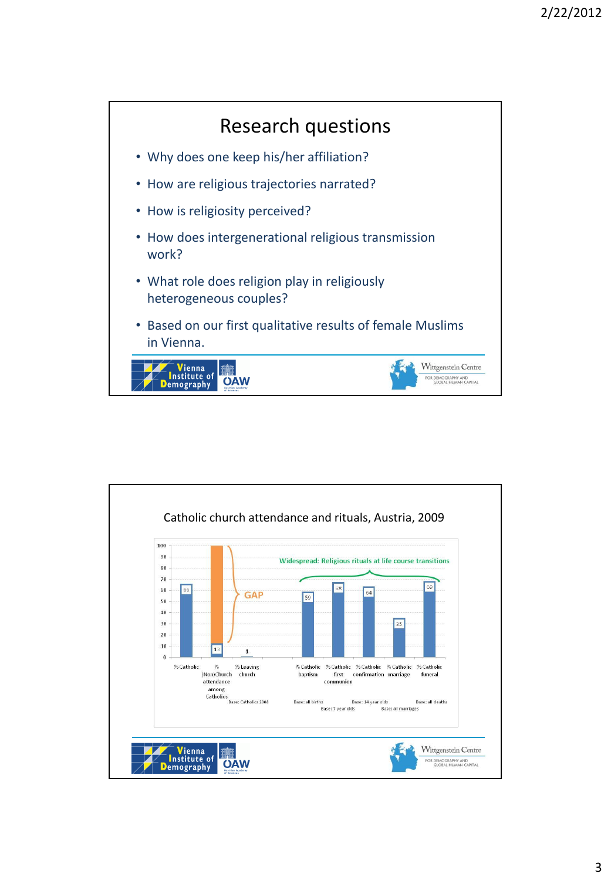

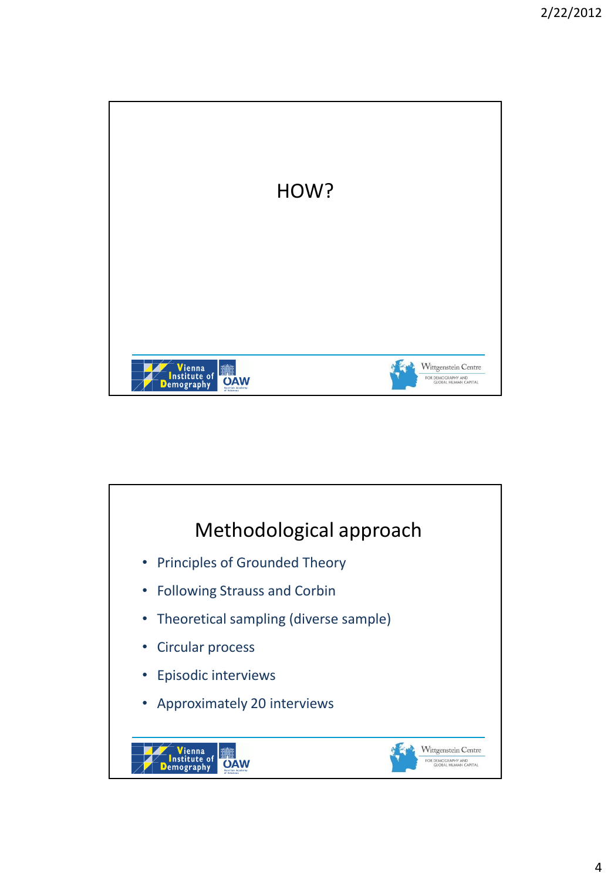